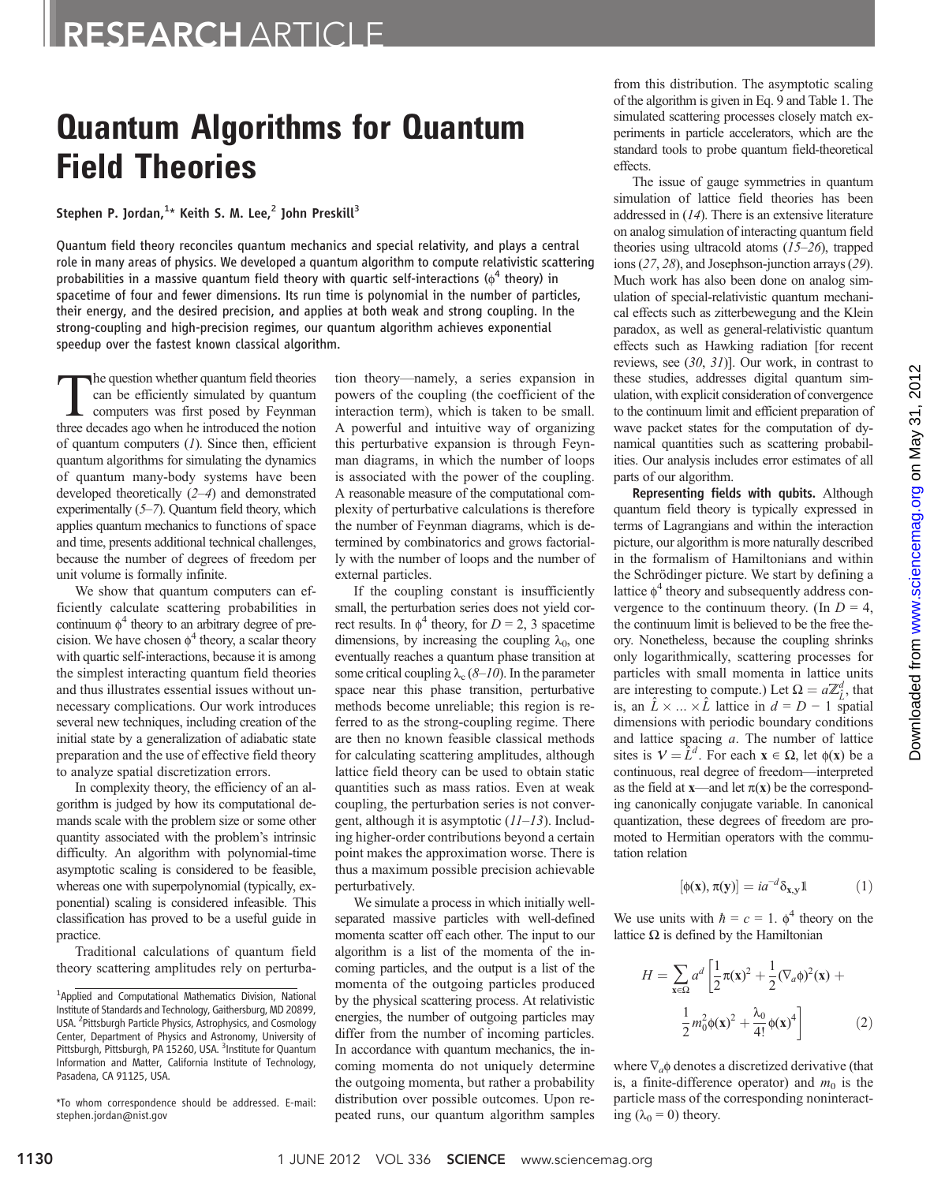## RESEARCH ARTICLE

# Quantum Algorithms for Quantum Field Theories

Stephen P. Jordan, $^{1\star}$  Keith S. M. Lee, $^2$  John Preskill $^3$ 

Quantum field theory reconciles quantum mechanics and special relativity, and plays a central role in many areas of physics. We developed a quantum algorithm to compute relativistic scattering probabilities in a massive quantum field theory with quartic self-interactions ( $\phi^4$  theory) in spacetime of four and fewer dimensions. Its run time is polynomial in the number of particles, their energy, and the desired precision, and applies at both weak and strong coupling. In the strong-coupling and high-precision regimes, our quantum algorithm achieves exponential speedup over the fastest known classical algorithm.

The question whether quantum field theories<br>
can be efficiently simulated by quantum<br>
computers was first posed by Feynman<br>
three decades ago when he introduced the notion can be efficiently simulated by quantum three decades ago when he introduced the notion of quantum computers  $(1)$ . Since then, efficient quantum algorithms for simulating the dynamics of quantum many-body systems have been developed theoretically (2–4) and demonstrated experimentally (5–7). Quantum field theory, which applies quantum mechanics to functions of space and time, presents additional technical challenges, because the number of degrees of freedom per unit volume is formally infinite.

We show that quantum computers can efficiently calculate scattering probabilities in continuum  $\phi^4$  theory to an arbitrary degree of precision. We have chosen  $\phi^4$  theory, a scalar theory with quartic self-interactions, because it is among the simplest interacting quantum field theories and thus illustrates essential issues without unnecessary complications. Our work introduces several new techniques, including creation of the initial state by a generalization of adiabatic state preparation and the use of effective field theory to analyze spatial discretization errors.

In complexity theory, the efficiency of an algorithm is judged by how its computational demands scale with the problem size or some other quantity associated with the problem's intrinsic difficulty. An algorithm with polynomial-time asymptotic scaling is considered to be feasible, whereas one with superpolynomial (typically, exponential) scaling is considered infeasible. This classification has proved to be a useful guide in practice.

Traditional calculations of quantum field theory scattering amplitudes rely on perturbation theory—namely, a series expansion in powers of the coupling (the coefficient of the interaction term), which is taken to be small. A powerful and intuitive way of organizing this perturbative expansion is through Feynman diagrams, in which the number of loops is associated with the power of the coupling. A reasonable measure of the computational complexity of perturbative calculations is therefore the number of Feynman diagrams, which is determined by combinatorics and grows factorially with the number of loops and the number of external particles.

If the coupling constant is insufficiently small, the perturbation series does not yield correct results. In  $\phi^4$  theory, for  $D = 2$ , 3 spacetime dimensions, by increasing the coupling  $\lambda_0$ , one eventually reaches a quantum phase transition at some critical coupling  $\lambda_c$  (8–10). In the parameter space near this phase transition, perturbative methods become unreliable; this region is referred to as the strong-coupling regime. There are then no known feasible classical methods for calculating scattering amplitudes, although lattice field theory can be used to obtain static quantities such as mass ratios. Even at weak coupling, the perturbation series is not convergent, although it is asymptotic  $(11-13)$ . Including higher-order contributions beyond a certain point makes the approximation worse. There is thus a maximum possible precision achievable perturbatively.

We simulate a process in which initially wellseparated massive particles with well-defined momenta scatter off each other. The input to our algorithm is a list of the momenta of the incoming particles, and the output is a list of the momenta of the outgoing particles produced by the physical scattering process. At relativistic energies, the number of outgoing particles may differ from the number of incoming particles. In accordance with quantum mechanics, the incoming momenta do not uniquely determine the outgoing momenta, but rather a probability distribution over possible outcomes. Upon repeated runs, our quantum algorithm samples

from this distribution. The asymptotic scaling of the algorithm is given in Eq. 9 and Table 1. The simulated scattering processes closely match experiments in particle accelerators, which are the standard tools to probe quantum field-theoretical effects.

The issue of gauge symmetries in quantum simulation of lattice field theories has been addressed in (14). There is an extensive literature on analog simulation of interacting quantum field theories using ultracold atoms  $(15-26)$ , trapped ions (27, 28), and Josephson-junction arrays (29). Much work has also been done on analog simulation of special-relativistic quantum mechanical effects such as zitterbewegung and the Klein paradox, as well as general-relativistic quantum effects such as Hawking radiation [for recent reviews, see (30, 31)]. Our work, in contrast to these studies, addresses digital quantum simulation, with explicit consideration of convergence to the continuum limit and efficient preparation of wave packet states for the computation of dynamical quantities such as scattering probabilities. Our analysis includes error estimates of all parts of our algorithm.

Representing fields with qubits. Although quantum field theory is typically expressed in terms of Lagrangians and within the interaction picture, our algorithm is more naturally described in the formalism of Hamiltonians and within the Schrödinger picture. We start by defining a lattice  $\phi^4$  theory and subsequently address convergence to the continuum theory. (In  $D = 4$ , the continuum limit is believed to be the free theory. Nonetheless, because the coupling shrinks only logarithmically, scattering processes for particles with small momenta in lattice units are interesting to compute.) Let  $\Omega = a\mathbb{Z}_l^d$ , that is, an  $\hat{L} \times ... \times \hat{L}$  lattice in  $d = D - 1$  spatial dimensions with periodic boundary conditions and lattice spacing  $a$ . The number of lattice sites is  $V = \hat{L}^d$ . For each  $x \in \Omega$ , let  $\phi(x)$  be a continuous, real degree of freedom—interpreted as the field at  $x$ —and let  $\pi(x)$  be the corresponding canonically conjugate variable. In canonical quantization, these degrees of freedom are promoted to Hermitian operators with the commutation relation

$$
[\phi(\mathbf{x}), \pi(\mathbf{y})] = i a^{-d} \delta_{\mathbf{x}, \mathbf{y}} \mathbf{1} \tag{1}
$$

We use units with  $\hbar = c = 1$ ,  $\phi^4$  theory on the lattice  $\Omega$  is defined by the Hamiltonian

 $\mathbf{r}$ 

$$
H = \sum_{\mathbf{x}\in\Omega} a^d \left[ \frac{1}{2} \pi(\mathbf{x})^2 + \frac{1}{2} (\nabla_a \phi)^2(\mathbf{x}) + \frac{1}{2} m_0^2 \phi(\mathbf{x})^2 + \frac{\lambda_0}{4!} \phi(\mathbf{x})^4 \right]
$$
(2)

where  $\nabla_a \phi$  denotes a discretized derivative (that is, a finite-difference operator) and  $m_0$  is the particle mass of the corresponding noninteracting  $(\lambda_0 = 0)$  theory.

<sup>&</sup>lt;sup>1</sup>Applied and Computational Mathematics Division, National Institute of Standards and Technology, Gaithersburg, MD 20899, USA. <sup>2</sup> Pittsburgh Particle Physics, Astrophysics, and Cosmology Center, Department of Physics and Astronomy, University of Pittsburgh, Pittsburgh, PA 15260, USA. <sup>3</sup>Institute for Quantum Information and Matter, California Institute of Technology, Pasadena, CA 91125, USA.

<sup>\*</sup>To whom correspondence should be addressed. E-mail: stephen.jordan@nist.gov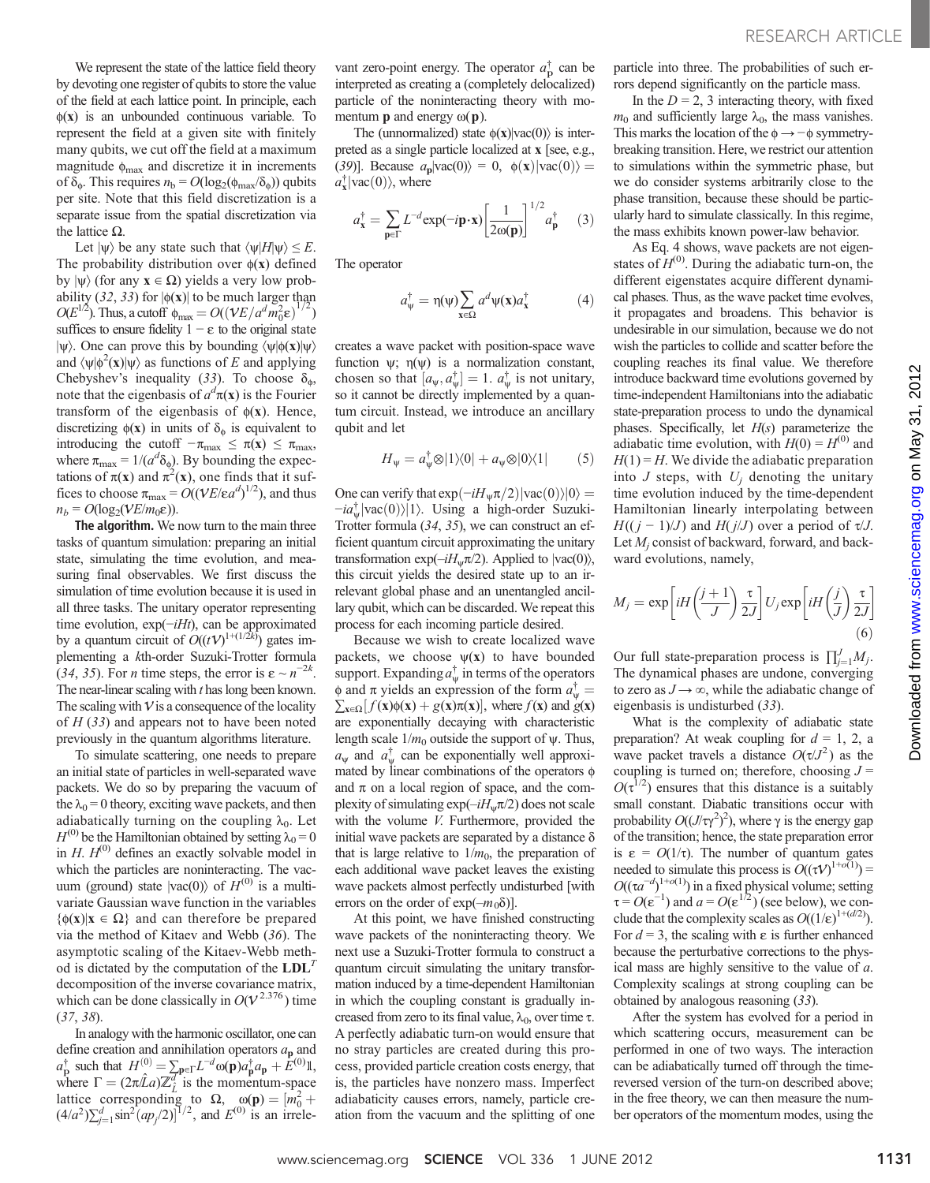We represent the state of the lattice field theory by devoting one register of qubits to store the value of the field at each lattice point. In principle, each  $\phi(x)$  is an unbounded continuous variable. To represent the field at a given site with finitely many qubits, we cut off the field at a maximum magnitude  $\phi_{\text{max}}$  and discretize it in increments of  $\delta_{\phi}$ . This requires  $n_{\rm b} = O(\log_2(\phi_{\rm max}/\delta_{\phi}))$  qubits per site. Note that this field discretization is a separate issue from the spatial discretization via the lattice  $Ω$ .

Let  $|\psi\rangle$  be any state such that  $\langle \psi|H|\psi\rangle \leq E$ . The probability distribution over  $\phi(x)$  defined by  $|\psi\rangle$  (for any  $x \in \Omega$ ) yields a very low probability (32, 33) for  $|\phi(\mathbf{x})|$  to be much larger than  $O(E^{1/2})$ . Thus, a cutoff  $\phi_{\text{max}} = O((VE/a^d m_0^2 \epsilon)^{1/2})$ ) suffices to ensure fidelity  $1 - \varepsilon$  to the original state  $|\psi\rangle$ . One can prove this by bounding  $\langle \psi | \phi(\mathbf{x}) | \psi \rangle$ and  $\langle \psi | \phi^2(\mathbf{x}) | \psi \rangle$  as functions of E and applying Chebyshev's inequality (33). To choose  $\delta_{\phi}$ , note that the eigenbasis of  $a^d\pi(x)$  is the Fourier transform of the eigenbasis of  $\phi(x)$ . Hence, discretizing  $\phi(\mathbf{x})$  in units of  $\delta_{\phi}$  is equivalent to introducing the cutoff  $-\pi_{\text{max}} \leq \pi(\mathbf{x}) \leq \pi_{\text{max}}$ , where  $\pi_{\text{max}} = 1/(a^d \delta_{\phi})$ . By bounding the expectations of  $\pi(\mathbf{x})$  and  $\pi^2(\mathbf{x})$ , one finds that it suffices to choose  $\pi_{\text{max}} = O((\nu E/\epsilon a^d)^{1/2})$ , and thus  $n_b = O(\log_2(VE/m_0\varepsilon)).$ 

The algorithm. We now turn to the main three tasks of quantum simulation: preparing an initial state, simulating the time evolution, and measuring final observables. We first discuss the simulation of time evolution because it is used in all three tasks. The unitary operator representing time evolution, exp(−iHt), can be approximated by a quantum circuit of  $O((tV)^{1+(1/2k)})$  gates implementing a kth-order Suzuki-Trotter formula (34, 35). For *n* time steps, the error is  $\varepsilon \sim n^{-2k}$ . The near-linear scaling with t has long been known. The scaling with  $V$  is a consequence of the locality of  $H(33)$  and appears not to have been noted previously in the quantum algorithms literature.

To simulate scattering, one needs to prepare an initial state of particles in well-separated wave packets. We do so by preparing the vacuum of the  $\lambda_0 = 0$  theory, exciting wave packets, and then adiabatically turning on the coupling  $\lambda_0$ . Let  $H^{(0)}$  be the Hamiltonian obtained by setting  $\lambda_0 = 0$ in  $H$ .  $H^{(0)}$  defines an exactly solvable model in which the particles are noninteracting. The vacuum (ground) state  $|{\rm vac}(0)\rangle$  of  $H^{(0)}$  is a multivariate Gaussian wave function in the variables  ${6(x)|x \in \Omega}$  and can therefore be prepared via the method of Kitaev and Webb (36). The asymptotic scaling of the Kitaev-Webb method is dictated by the computation of the  $LDL<sup>T</sup>$ decomposition of the inverse covariance matrix, which can be done classically in  $O(V^{2.376})$  time (37, 38).

In analogy with the harmonic oscillator, one can define creation and annihilation operators  $a_{\bf p}$  and  $a_{\mathbf{p}}^{\dagger}$  such that  $H^{(0)} = \sum_{\mathbf{p} \in \Gamma} L^{-d} \omega(\mathbf{p}) a_{\mathbf{p}}^{\dagger} a_{\mathbf{p}} + E^{(0)} \mathbb{I}$ , where  $\Gamma = (2\pi \hat{L}a) \mathbb{Z}_{\hat{L}}^d$  is the momentum-space lattice corresponding to  $\Omega$ ,  $\omega(\mathbf{p}) = [m_0^2 + (4/a^2)\sum_{j=1}^d \sin^2(ap_j/2)]^{1/2}$ , and  $E^{(0)}$  is an irrele-

vant zero-point energy. The operator  $a_{\rm p}^{\dagger}$  can be interpreted as creating a (completely delocalized) particle of the noninteracting theory with momentum **p** and energy  $\omega(\mathbf{p})$ .

The (unnormalized) state  $\phi(\mathbf{x})|vac(0)\rangle$  is interpreted as a single particle localized at x [see, e.g., (39)]. Because  $a_p|vac(0)\rangle = 0$ ,  $\phi(\mathbf{x})|vac(0)\rangle =$  $a_{\mathbf{x}}^{\dagger} | \text{vac}(0) \rangle$ , where

$$
a_{\mathbf{x}}^{\dagger} = \sum_{\mathbf{p} \in \Gamma} L^{-d} \exp(-i\mathbf{p} \cdot \mathbf{x}) \left[ \frac{1}{2\omega(\mathbf{p})} \right]^{1/2} a_{\mathbf{p}}^{\dagger} \tag{3}
$$

The operator

$$
a_{\psi}^{\dagger} = \eta(\psi) \sum_{\mathbf{x} \in \Omega} a^d \psi(\mathbf{x}) a_{\mathbf{x}}^{\dagger} \tag{4}
$$

creates a wave packet with position-space wave function  $\psi$ ;  $\eta(\psi)$  is a normalization constant, chosen so that  $[a_{\psi}, a_{\psi}^{\dagger}] = 1$ .  $a_{\psi}^{\dagger}$  is not unitary, so it cannot be directly implemented by a quantum circuit. Instead, we introduce an ancillary qubit and let

$$
H_{\Psi} = a_{\Psi}^{\dagger} \otimes |1\rangle\langle 0| + a_{\Psi} \otimes |0\rangle\langle 1| \tag{5}
$$

One can verify that  $\exp(-iH_{\Psi}\pi/2)|\text{vac}(0)\rangle|0\rangle=$  $-i a_{\Psi}^{\dagger} | \text{vac}(0) \rangle | 1 \rangle$ . Using a high-order Suzuki-Trotter formula (34, 35), we can construct an efficient quantum circuit approximating the unitary transformation  $\exp(-iH_w\pi/2)$ . Applied to  $|\text{vac}(0)\rangle$ , this circuit yields the desired state up to an irrelevant global phase and an unentangled ancillary qubit, which can be discarded. We repeat this process for each incoming particle desired.

Because we wish to create localized wave packets, we choose  $\psi(x)$  to have bounded support. Expanding  $a_{\Psi}^{\dagger}$  in terms of the operators  $\phi$  and  $\pi$  yields an expression of the form  $a^{\dagger}_{\Psi}$  =  $\sum_{\mathbf{x} \in \Omega} [f(\mathbf{x})\phi(\mathbf{x}) + g(\mathbf{x})\pi(\mathbf{x})],$  where  $f(\mathbf{x})$  and  $g(\mathbf{x})$ are exponentially decaying with characteristic length scale  $1/m_0$  outside the support of  $\psi$ . Thus,  $a_{\psi}$  and  $a_{\psi}^{\dagger}$  can be exponentially well approximated by linear combinations of the operators  $\phi$ and  $\pi$  on a local region of space, and the complexity of simulating  $\exp(-iH_{\nu}\pi/2)$  does not scale with the volume V. Furthermore, provided the initial wave packets are separated by a distance  $\delta$ that is large relative to  $1/m_0$ , the preparation of each additional wave packet leaves the existing wave packets almost perfectly undisturbed [with errors on the order of  $exp(-m_0\delta)$ .

At this point, we have finished constructing wave packets of the noninteracting theory. We next use a Suzuki-Trotter formula to construct a quantum circuit simulating the unitary transformation induced by a time-dependent Hamiltonian in which the coupling constant is gradually increased from zero to its final value,  $\lambda_0$ , over time  $\tau$ . A perfectly adiabatic turn-on would ensure that no stray particles are created during this process, provided particle creation costs energy, that is, the particles have nonzero mass. Imperfect adiabaticity causes errors, namely, particle creation from the vacuum and the splitting of one

particle into three. The probabilities of such errors depend significantly on the particle mass.

In the  $D = 2$ , 3 interacting theory, with fixed  $m_0$  and sufficiently large  $\lambda_0$ , the mass vanishes. This marks the location of the  $\phi \rightarrow -\phi$  symmetrybreaking transition. Here, we restrict our attention to simulations within the symmetric phase, but we do consider systems arbitrarily close to the phase transition, because these should be particularly hard to simulate classically. In this regime, the mass exhibits known power-law behavior.

As Eq. 4 shows, wave packets are not eigenstates of  $H^{(0)}$ . During the adiabatic turn-on, the different eigenstates acquire different dynamical phases. Thus, as the wave packet time evolves, it propagates and broadens. This behavior is undesirable in our simulation, because we do not wish the particles to collide and scatter before the coupling reaches its final value. We therefore introduce backward time evolutions governed by time-independent Hamiltonians into the adiabatic state-preparation process to undo the dynamical phases. Specifically, let  $H(s)$  parameterize the adiabatic time evolution, with  $H(0) = H^{(0)}$  and  $H(1) = H$ . We divide the adiabatic preparation into  $J$  steps, with  $U_i$  denoting the unitary time evolution induced by the time-dependent Hamiltonian linearly interpolating between  $H((j-1)/J)$  and  $H(j/J)$  over a period of  $\tau/J$ . Let  $M_i$  consist of backward, forward, and backward evolutions, namely,

$$
M_j = \exp\left[iH\left(\frac{j+1}{J}\right)\frac{\tau}{2J}\right]U_j \exp\left[iH\left(\frac{j}{J}\right)\frac{\tau}{2J}\right]
$$
\n(6)

Our full state-preparation process is  $\prod_{j=1}^{J} M_j$ . The dynamical phases are undone, converging to zero as  $J \rightarrow \infty$ , while the adiabatic change of eigenbasis is undisturbed (33).

What is the complexity of adiabatic state preparation? At weak coupling for  $d = 1, 2, a$ wave packet travels a distance  $O(\tau/J^2)$  as the coupling is turned on; therefore, choosing  $J =$  $O(\tau^{1/2})$  ensures that this distance is a suitably small constant. Diabatic transitions occur with probability  $O((J/\tau \gamma^2)^2)$ , where  $\gamma$  is the energy gap of the transition; hence, the state preparation error is  $\varepsilon = O(1/\tau)$ . The number of quantum gates needed to simulate this process is  $O((\tau V)^{1+o(1)})$  =  $O((\tau a^{-d})^{1+o(1)})$  in a fixed physical volume; setting  $\tau = O(\epsilon^{-1})$  and  $a = O(\epsilon^{1/2})$  (see below), we conclude that the complexity scales as  $O((1/\epsilon)^{1+(d/2)})$ . For  $d = 3$ , the scaling with  $\varepsilon$  is further enhanced because the perturbative corrections to the physical mass are highly sensitive to the value of a. Complexity scalings at strong coupling can be obtained by analogous reasoning (33).

After the system has evolved for a period in which scattering occurs, measurement can be performed in one of two ways. The interaction can be adiabatically turned off through the timereversed version of the turn-on described above; in the free theory, we can then measure the number operators of the momentum modes, using the on May 31, 2012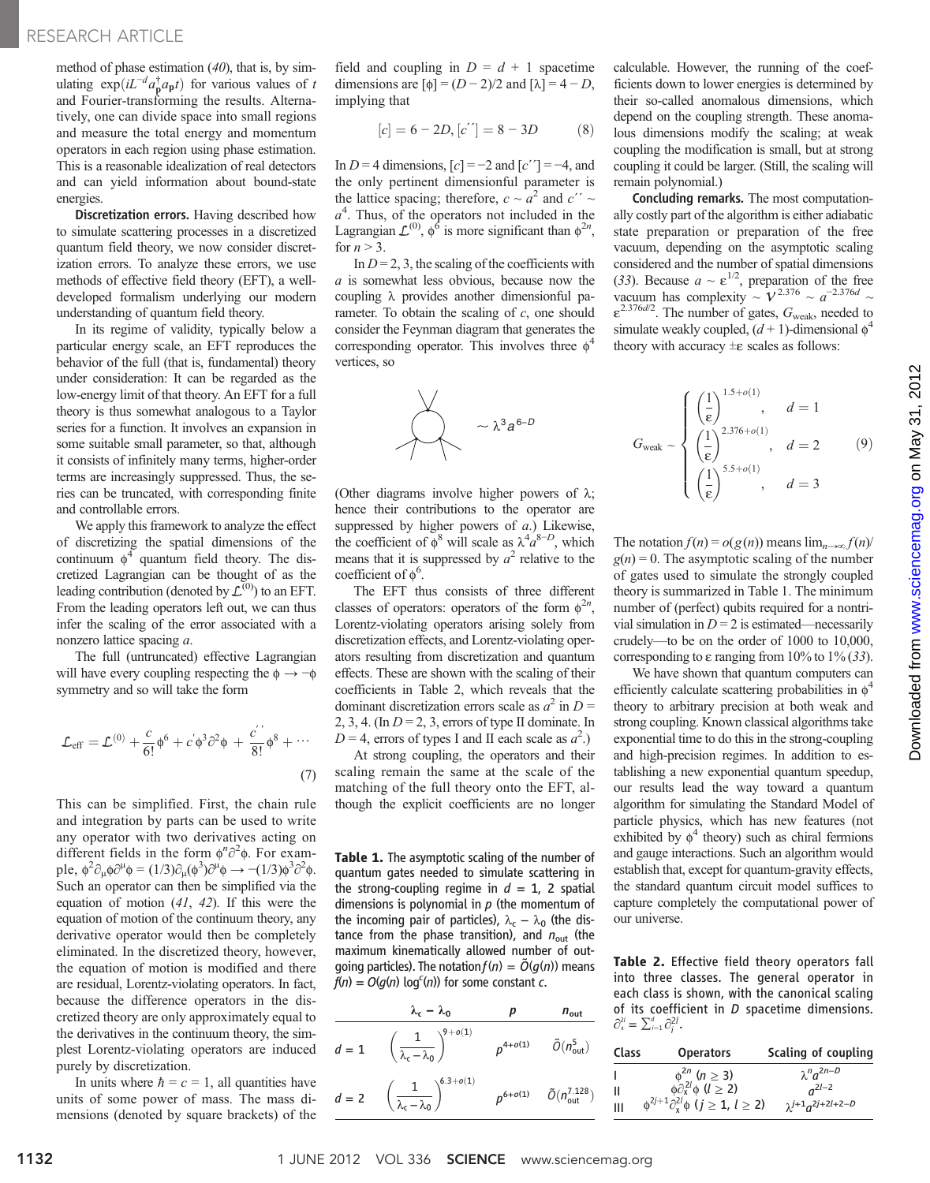method of phase estimation  $(40)$ , that is, by simulating  $\exp(iL^{-d}a_{\mathbf{p}}^{\dagger}a_{\mathbf{p}}t)$  for various values of t and Fourier-transforming the results. Alternatively, one can divide space into small regions and measure the total energy and momentum operators in each region using phase estimation. This is a reasonable idealization of real detectors and can yield information about bound-state energies.

Discretization errors. Having described how to simulate scattering processes in a discretized quantum field theory, we now consider discretization errors. To analyze these errors, we use methods of effective field theory (EFT), a welldeveloped formalism underlying our modern understanding of quantum field theory.

In its regime of validity, typically below a particular energy scale, an EFT reproduces the behavior of the full (that is, fundamental) theory under consideration: It can be regarded as the low-energy limit of that theory. An EFT for a full theory is thus somewhat analogous to a Taylor series for a function. It involves an expansion in some suitable small parameter, so that, although it consists of infinitely many terms, higher-order terms are increasingly suppressed. Thus, the series can be truncated, with corresponding finite and controllable errors.

We apply this framework to analyze the effect of discretizing the spatial dimensions of the continuum  $\phi^4$  quantum field theory. The discretized Lagrangian can be thought of as the leading contribution (denoted by  $\mathcal{L}^{(0)}$ ) to an EFT. From the leading operators left out, we can thus infer the scaling of the error associated with a nonzero lattice spacing a.

The full (untruncated) effective Lagrangian will have every coupling respecting the  $\phi \rightarrow -\phi$ symmetry and so will take the form

$$
\mathcal{L}_{\text{eff}} = \mathcal{L}^{(0)} + \frac{c}{6!} \phi^6 + c' \phi^3 \partial^2 \phi + \frac{c'}{8!} \phi^8 + \cdots
$$
\n(7)

This can be simplified. First, the chain rule and integration by parts can be used to write any operator with two derivatives acting on different fields in the form  $\phi^n \partial^2 \phi$ . For example,  $\phi^2 \partial_\mu \phi \partial^\mu \phi = (1/3) \partial_\mu (\phi^3) \partial^\mu \phi \rightarrow -(1/3) \phi^3 \partial^2 \phi$ . Such an operator can then be simplified via the equation of motion  $(41, 42)$ . If this were the equation of motion of the continuum theory, any derivative operator would then be completely eliminated. In the discretized theory, however, the equation of motion is modified and there are residual, Lorentz-violating operators. In fact, because the difference operators in the discretized theory are only approximately equal to the derivatives in the continuum theory, the simplest Lorentz-violating operators are induced purely by discretization.

In units where  $\hbar = c = 1$ , all quantities have units of some power of mass. The mass dimensions (denoted by square brackets) of the

field and coupling in  $D = d + 1$  spacetime dimensions are  $[\phi] = (D - 2)/2$  and  $[\lambda] = 4 - D$ , implying that

$$
[c] = 6 - 2D, [c''] = 8 - 3D \tag{8}
$$

In  $D = 4$  dimensions,  $[c] = -2$  and  $[c''] = -4$ , and the only pertinent dimensionful parameter is the lattice spacing; therefore,  $c \sim a^2$  and  $c'' \sim$  $a<sup>4</sup>$ . Thus, of the operators not included in the Lagrangian  $\mathcal{L}^{(0)}$ ,  $\phi^6$  is more significant than  $\phi^{2n}$ , for  $n > 3$ .

In  $D = 2, 3$ , the scaling of the coefficients with a is somewhat less obvious, because now the coupling  $\lambda$  provides another dimensionful parameter. To obtain the scaling of  $c$ , one should consider the Feynman diagram that generates the corresponding operator. This involves three  $\phi^4$ vertices, so



(Other diagrams involve higher powers of  $\lambda$ ; hence their contributions to the operator are suppressed by higher powers of  $a$ .) Likewise, the coefficient of  $\phi^8$  will scale as  $\lambda^4 a^{8-D}$ , which means that it is suppressed by  $a^2$  relative to the coefficient of  $\phi^6$ .

The EFT thus consists of three different classes of operators: operators of the form  $\phi^{2n}$ , Lorentz-violating operators arising solely from discretization effects, and Lorentz-violating operators resulting from discretization and quantum effects. These are shown with the scaling of their coefficients in Table 2, which reveals that the dominant discretization errors scale as  $a^2$  in  $D =$ 2, 3, 4. (In  $D = 2$ , 3, errors of type II dominate. In  $D = 4$ , errors of types I and II each scale as  $a^2$ .)

At strong coupling, the operators and their scaling remain the same at the scale of the matching of the full theory onto the EFT, although the explicit coefficients are no longer

Table 1. The asymptotic scaling of the number of quantum gates needed to simulate scattering in the strong-coupling regime in  $d = 1$ , 2 spatial dimensions is polynomial in  $p$  (the momentum of the incoming pair of particles),  $\lambda_c - \lambda_0$  (the distance from the phase transition), and  $n_{\text{out}}$  (the maximum kinematically allowed number of outgoing particles). The notation  $f(n) = \tilde{O}(q(n))$  means  $f(n) = O(g(n) \log^c(n))$  for some constant c.

$$
\lambda_{\rm c} - \lambda_{\rm 0} \qquad p \qquad n_{\rm out}
$$
\n
$$
d = 1 \qquad \left(\frac{1}{\lambda_{\rm c} - \lambda_{\rm 0}}\right)^{9 + o(1)} \qquad \rho^{4 + o(1)} \qquad \tilde{O}(n_{\rm out}^5)
$$
\n
$$
d = 2 \qquad \left(\frac{1}{\lambda_{\rm c} - \lambda_{\rm 0}}\right)^{6.3 + o(1)} \qquad \rho^{6 + o(1)} \qquad \tilde{O}(n_{\rm out}^{7.128})
$$

calculable. However, the running of the coefficients down to lower energies is determined by their so-called anomalous dimensions, which depend on the coupling strength. These anomalous dimensions modify the scaling; at weak coupling the modification is small, but at strong coupling it could be larger. (Still, the scaling will remain polynomial.)

Concluding remarks. The most computationally costly part of the algorithm is either adiabatic state preparation or preparation of the free vacuum, depending on the asymptotic scaling considered and the number of spatial dimensions (33). Because  $a \sim \varepsilon^{1/2}$ , preparation of the free vacuum has complexity  $\sim V^{2.376} \sim a^{-2.376d} \sim$  $\varepsilon^{2.376d/2}$ . The number of gates,  $G_{\text{weak}}$ , needed to simulate weakly coupled,  $(d + 1)$ -dimensional  $\phi^2$ theory with accuracy  $\pm \varepsilon$  scales as follows:

$$
G_{\text{weak}} \sim \begin{cases} \left(\frac{1}{\epsilon}\right)^{1.5+o(1)}, & d = 1\\ \left(\frac{1}{\epsilon}\right)^{2.376+o(1)}, & d = 2\\ \left(\frac{1}{\epsilon}\right)^{5.5+o(1)}, & d = 3 \end{cases}
$$
(9)

The notation  $f(n) = o(g(n))$  means  $\lim_{n\to\infty} f(n)$  $g(n) = 0$ . The asymptotic scaling of the number of gates used to simulate the strongly coupled theory is summarized in Table 1. The minimum number of (perfect) qubits required for a nontrivial simulation in  $D = 2$  is estimated—necessarily crudely—to be on the order of 1000 to 10,000, corresponding to  $\varepsilon$  ranging from 10% to 1% (33).

We have shown that quantum computers can efficiently calculate scattering probabilities in  $\phi^4$ theory to arbitrary precision at both weak and strong coupling. Known classical algorithms take exponential time to do this in the strong-coupling and high-precision regimes. In addition to establishing a new exponential quantum speedup, our results lead the way toward a quantum algorithm for simulating the Standard Model of particle physics, which has new features (not exhibited by  $\phi^4$  theory) such as chiral fermions and gauge interactions. Such an algorithm would establish that, except for quantum-gravity effects, the standard quantum circuit model suffices to capture completely the computational power of our universe.

Table 2. Effective field theory operators fall into three classes. The general operator in each class is shown, with the canonical scaling of its coefficient in D spacetime dimensions.  $\partial_{\mathbf{x}}^{2l} = \sum_{i=1}^{d} \partial_{i}^{2l}$ .

| Class | <b>Operators</b>                                                                                                                                                   | Scaling of coupling           |
|-------|--------------------------------------------------------------------------------------------------------------------------------------------------------------------|-------------------------------|
|       | $\phi^{2n}$ ( <i>n</i> $\geq$ 3)<br>$\phi \partial_x^{2l} \phi$ ( <i>l</i> $\geq$ 2)<br>$\phi^{2j+1} \partial_x^{2l} \phi$ ( <i>j</i> $\geq$ 1, <i>l</i> $\geq$ 2) | $\lambda^n a^{2n-D}$          |
| Ш     |                                                                                                                                                                    | $n^{2l-2}$                    |
| Ш     |                                                                                                                                                                    | $\lambda^{j+1} a^{2j+2l+2-D}$ |